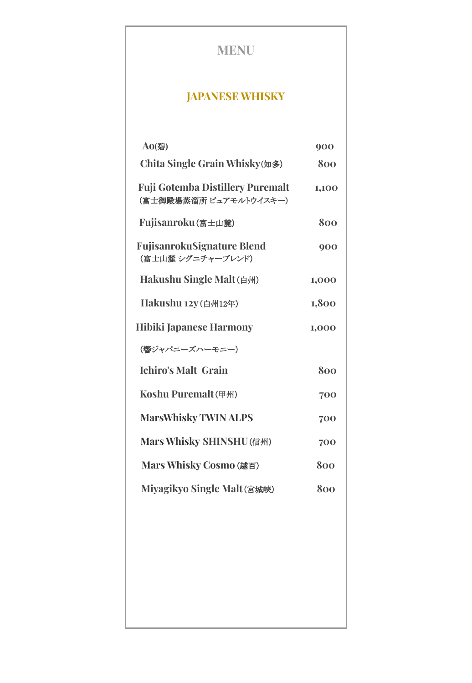# **MENU**

### **JAPANESE WHISKY**

| Ao(碧)                                                             | 900   |
|-------------------------------------------------------------------|-------|
| Chita Single Grain Whisky(知多)                                     | 800   |
| <b>Fuji Gotemba Distillery Puremalt</b><br>(富士御殿場蒸溜所 ピュアモルトウイスキー) | 1,100 |
| Fujisanroku(富士山麓)                                                 | 800   |
| <b>FujisanrokuSignature Blend</b><br>(富士山麓 シグニチャーブレンド)            | 900   |
| Hakushu Single Malt(白州)                                           | 1,000 |
| Hakushu 12y (白州12年)                                               | 1,800 |
| <b>Hibiki Japanese Harmony</b>                                    | 1,000 |
| (響ジャパニーズハーモニー)                                                    |       |
| <b>Ichiro's Malt Grain</b>                                        | 800   |
| Koshu Puremalt (甲州)                                               | 700   |
| <b>MarsWhisky TWIN ALPS</b>                                       | 700   |
| Mars Whisky SHINSHU(信州)                                           | 700   |
| Mars Whisky Cosmo (越百)                                            | 800   |
| Miyagikyo Single Malt(宮城峡)                                        | 800   |
|                                                                   |       |
|                                                                   |       |
|                                                                   |       |
|                                                                   |       |
|                                                                   |       |
|                                                                   |       |
|                                                                   |       |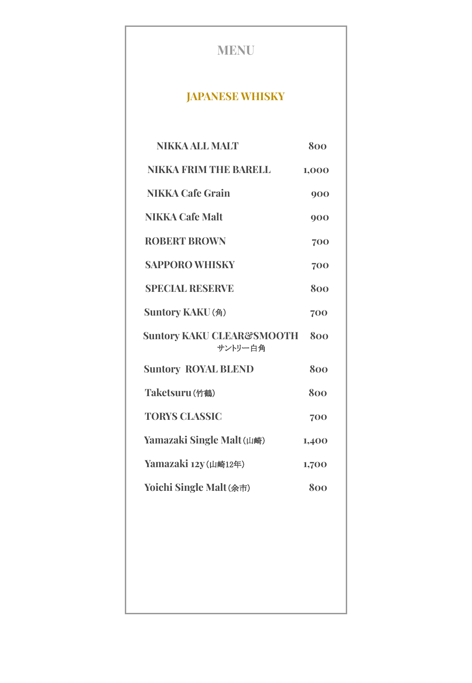| <b>MENU</b>                                     |       |
|-------------------------------------------------|-------|
| <b>JAPANESE WHISKY</b>                          |       |
| <b>NIKKA ALL MALT</b>                           | 800   |
| <b>NIKKA FRIM THE BARELL</b>                    | 1,000 |
| <b>NIKKA Cafe Grain</b>                         | 900   |
| <b>NIKKA Cafe Malt</b>                          | 900   |
| <b>ROBERT BROWN</b>                             | 700   |
| <b>SAPPORO WHISKY</b>                           | 700   |
| <b>SPECIAL RESERVE</b>                          | 800   |
| Suntory KAKU(角)                                 | 700   |
| <b>Suntory KAKU CLEAR&amp;SMOOTH</b><br>サントリー白角 | 800   |
| <b>Suntory ROYAL BLEND</b>                      | 800   |
| Taketsuru(竹鶴)                                   | 800   |
| <b>TORYS CLASSIC</b>                            | 700   |
| Yamazaki Single Malt(山崎)                        | 1,400 |
| Yamazaki 12y (山崎12年)                            | 1,700 |
| Yoichi Single Malt(余市)                          | 800   |
|                                                 |       |
|                                                 |       |
|                                                 |       |
|                                                 |       |
|                                                 |       |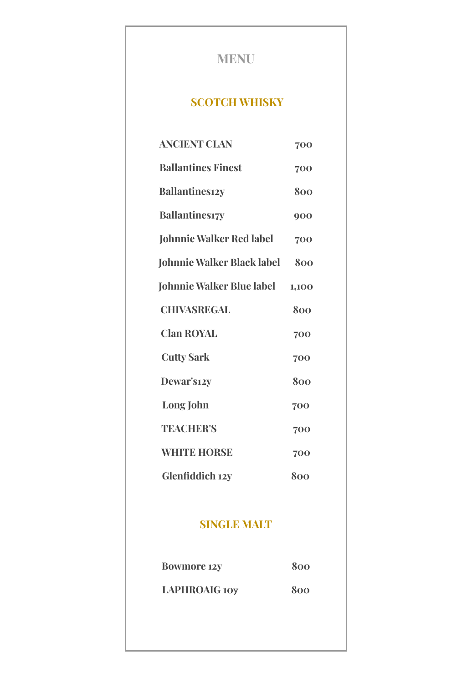## **MENU**

#### **SCOTCH WHISKY**

| <b>ANCIENT CLAN</b>               | 700   |
|-----------------------------------|-------|
| <b>Ballantines Finest</b>         | 700   |
| <b>Ballantinesizy</b>             | 800   |
| <b>Ballantines17y</b>             | 900   |
| <b>Johnnie Walker Red label</b>   | 700   |
| <b>Johnnie Walker Black label</b> | 800   |
| <b>Johnnie Walker Blue label</b>  | 1,100 |
| <b>CHIVASREGAL</b>                | 800   |
| <b>Clan ROYAL</b>                 | 700   |
| <b>Cutty Sark</b>                 | 700   |
| Dewar's12y                        | 800   |
| Long John                         | 700   |
| <b>TEACHER'S</b>                  | 700   |
| <b>WHITE HORSE</b>                | 700   |
| Glenfiddich 12y                   | 800   |
|                                   |       |
| <b>SINGLE MALT</b>                |       |

| <b>Bowmore 12y</b>   | 800 |
|----------------------|-----|
| <b>LAPHROAIG 10y</b> | 800 |